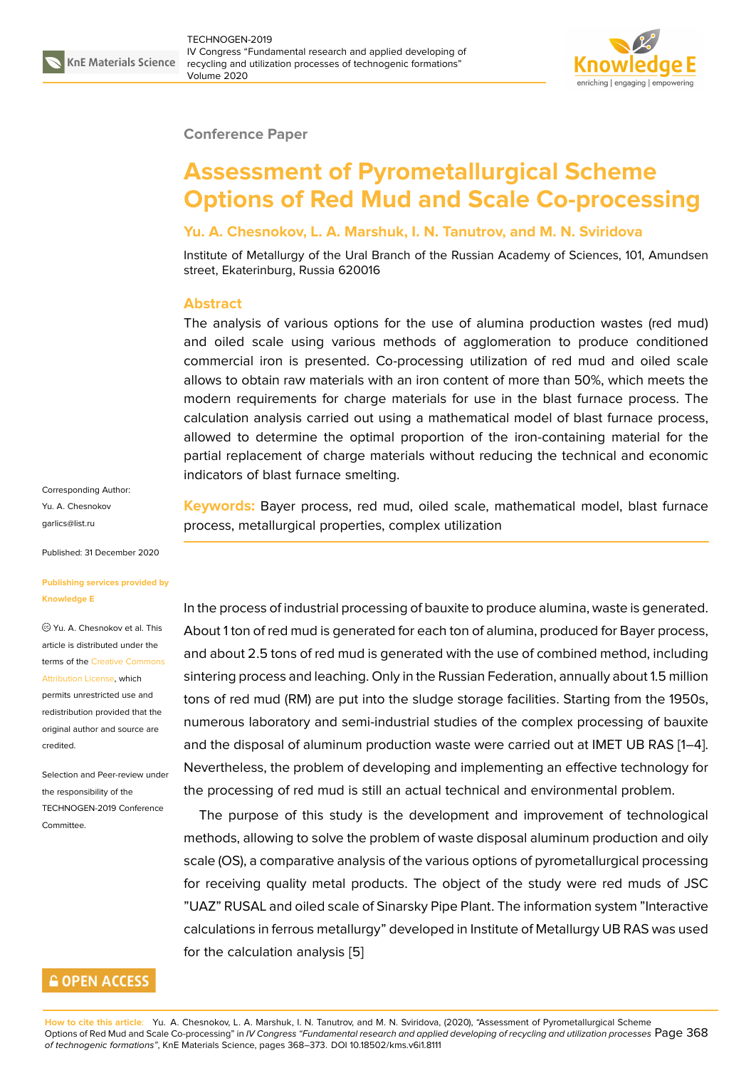

#### **Conference Paper**

# **Assessment of Pyrometallurgical Scheme Options of Red Mud and Scale Co-processing**

#### **Yu. A. Chesnokov, L. A. Marshuk, I. N. Tanutrov, and M. N. Sviridova**

Institute of Metallurgy of the Ural Branch of the Russian Academy of Sciences, 101, Amundsen street, Ekaterinburg, Russia 620016

## **Abstract**

The analysis of various options for the use of alumina production wastes (red mud) and oiled scale using various methods of agglomeration to produce conditioned commercial iron is presented. Co-processing utilization of red mud and oiled scale allows to obtain raw materials with an iron content of more than 50%, which meets the modern requirements for charge materials for use in the blast furnace process. The calculation analysis carried out using a mathematical model of blast furnace process, allowed to determine the optimal proportion of the iron-containing material for the partial replacement of charge materials without reducing the technical and economic indicators of blast furnace smelting.

Corresponding Author: Yu. A. Chesnokov garlics@list.ru

Published: 31 December 2020

#### **[Publishing se](mailto:garlics@list.ru)rvices provided by Knowledge E**

Yu. A. Chesnokov et al. This article is distributed under the terms of the Creative Commons Attribution License, which

permits unrestricted use and redistribution provided that the original auth[or and source are](https://creativecommons.org/licenses/by/4.0/) [credited.](https://creativecommons.org/licenses/by/4.0/)

Selection and Peer-review under the responsibility of the TECHNOGEN-2019 Conference Committee.

## **GOPEN ACCESS**

**Keywords:** Bayer process, red mud, oiled scale, mathematical model, blast furnace process, metallurgical properties, complex utilization

In the process of industrial processing of bauxite to produce alumina, waste is generated. About 1 ton of red mud is generated for each ton of alumina, produced for Bayer process, and about 2.5 tons of red mud is generated with the use of combined method, including sintering process and leaching. Only in the Russian Federation, annually about 1.5 million tons of red mud (RM) are put into the sludge storage facilities. Starting from the 1950s, numerous laboratory and semi-industrial studies of the complex processing of bauxite and the disposal of aluminum production waste were carried out at IMET UB RAS [1–4]. Nevertheless, the problem of developing and implementing an effective technology for the processing of red mud is still an actual technical and environmental problem.

The purpose of this study is the development and improvement of technolo[g](#page-5-0)i[ca](#page-5-1)l methods, allowing to solve the problem of waste disposal aluminum production and oily scale (OS), a comparative analysis of the various options of pyrometallurgical processing for receiving quality metal products. The object of the study were red muds of JSC "UAZ" RUSAL and oiled scale of Sinarsky Pipe Plant. The information system "Interactive calculations in ferrous metallurgy" developed in Institute of Metallurgy UB RAS was used for the calculation analysis [5]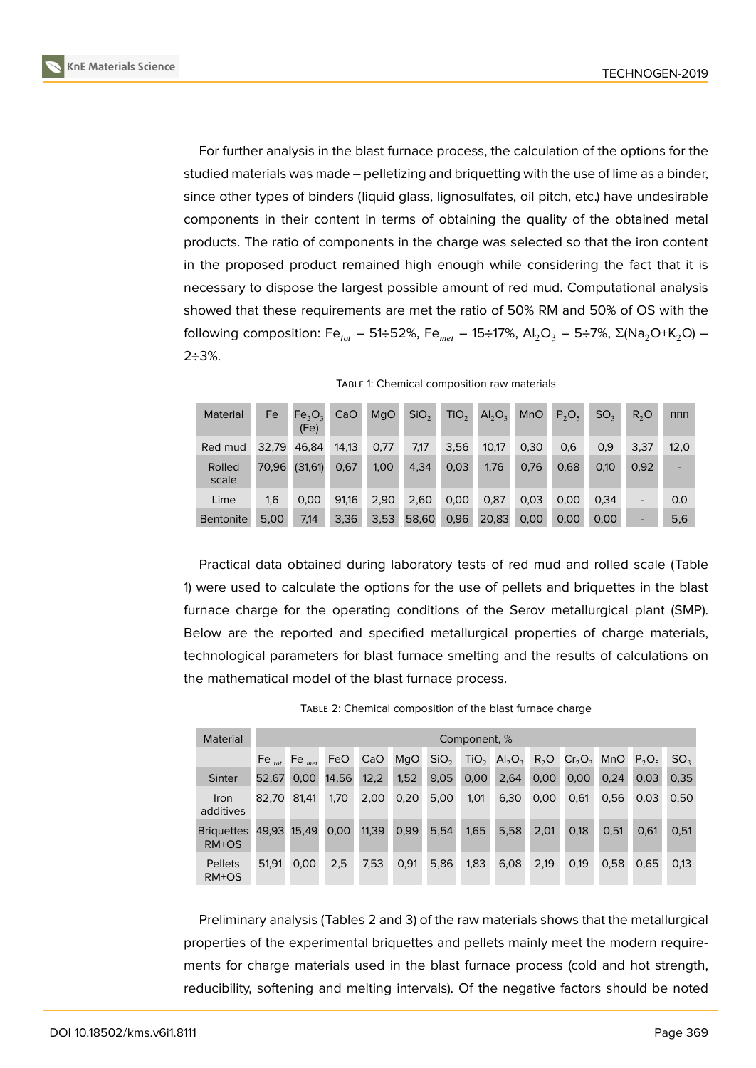

For further analysis in the blast furnace process, the calculation of the options for the studied materials was made – pelletizing and briquetting with the use of lime as a binder, since other types of binders (liquid glass, lignosulfates, oil pitch, etc.) have undesirable components in their content in terms of obtaining the quality of the obtained metal products. The ratio of components in the charge was selected so that the iron content in the proposed product remained high enough while considering the fact that it is necessary to dispose the largest possible amount of red mud. Computational analysis showed that these requirements are met the ratio of 50% RM and 50% of OS with the following composition: Fe<sub>tot</sub> – 51÷52%, Fe<sub>met</sub> – 15÷17%, Al<sub>2</sub>O<sub>3</sub> – 5÷7%, Σ(Na<sub>2</sub>O+K<sub>2</sub>O) –  $2 \div 3\%$ .

| Material         | Fe    | Fe <sub>2</sub> O <sub>2</sub><br>(Fe) | CaO   | MqO  | SiO <sub>2</sub> | TiO <sub>2</sub> | $Al_2O_3$ | <b>MnO</b> | $P_2O_5$ | SO <sub>2</sub> | $R_2$ O | <b>nnn</b>               |
|------------------|-------|----------------------------------------|-------|------|------------------|------------------|-----------|------------|----------|-----------------|---------|--------------------------|
| Red mud          | 32.79 | 46.84                                  | 14.13 | 0.77 | 7,17             | 3,56             | 10,17     | 0.30       | 0,6      | 0,9             | 3,37    | 12,0                     |
| Rolled<br>scale  | 70.96 | (31,61)                                | 0,67  | 1,00 | 4,34             | 0,03             | 1.76      | 0.76       | 0,68     | 0.10            | 0,92    | $\overline{\phantom{0}}$ |
| Lime             | 1,6   | 0,00                                   | 91,16 | 2,90 | 2,60             | 0,00             | 0,87      | 0,03       | 0.00     | 0,34            | -       | 0.0                      |
| <b>Bentonite</b> | 5.00  | 7,14                                   | 3,36  | 3,53 | 58,60            | 0,96             | 20,83     | 0,00       | 0.00     | 0,00            |         | 5,6                      |

Practical data obtained during laboratory tests of red mud and rolled scale (Table 1) were used to calculate the options for the use of pellets and briquettes in the blast furnace charge for the operating conditions of the Serov metallurgical plant (SMP). Below are the reported and specified metallurgical properties of charge materials, technological parameters for blast furnace smelting and the results of calculations on the mathematical model of the blast furnace process.

| Material                   |             | Component, %      |       |       |      |                  |                  |                                |        |           |      |          |                 |
|----------------------------|-------------|-------------------|-------|-------|------|------------------|------------------|--------------------------------|--------|-----------|------|----------|-----------------|
|                            | Fe $_{tot}$ | Fe <sub>met</sub> | FeO   | CaO   | MqO  | SiO <sub>2</sub> | TiO <sub>2</sub> | AI <sub>2</sub> O <sub>3</sub> | $R_2O$ | $Cr_2O_3$ | MnO  | $P_2O_5$ | SO <sub>3</sub> |
| <b>Sinter</b>              | 52.67       | 0.00              | 14,56 | 12,2  | 1,52 | 9,05             | 0,00             | 2,64                           | 0,00   | 0,00      | 0.24 | 0.03     | 0,35            |
| Iron<br>additives          | 82.70       | 81.41             | 1,70  | 2,00  | 0,20 | 5,00             | 1,01             | 6,30                           | 0,00   | 0,61      | 0,56 | 0.03     | 0,50            |
| <b>Briguettes</b><br>RM+OS | 49.93       | 15.49             | 0,00  | 11,39 | 0,99 | 5.54             | 1,65             | 5,58                           | 2.01   | 0,18      | 0.51 | 0.61     | 0,51            |
| <b>Pellets</b><br>RM+OS    | 51,91       | 0.00              | 2,5   | 7,53  | 0,91 | 5,86             | 1,83             | 6,08                           | 2,19   | 0,19      | 0,58 | 0.65     | 0,13            |

TABLE 2: Chemical composition of the blast furnace charge

Preliminary analysis (Tables 2 and 3) of the raw materials shows that the metallurgical properties of the experimental briquettes and pellets mainly meet the modern requirements for charge materials used in the blast furnace process (cold and hot strength, reducibility, softening and melting intervals). Of the negative factors should be noted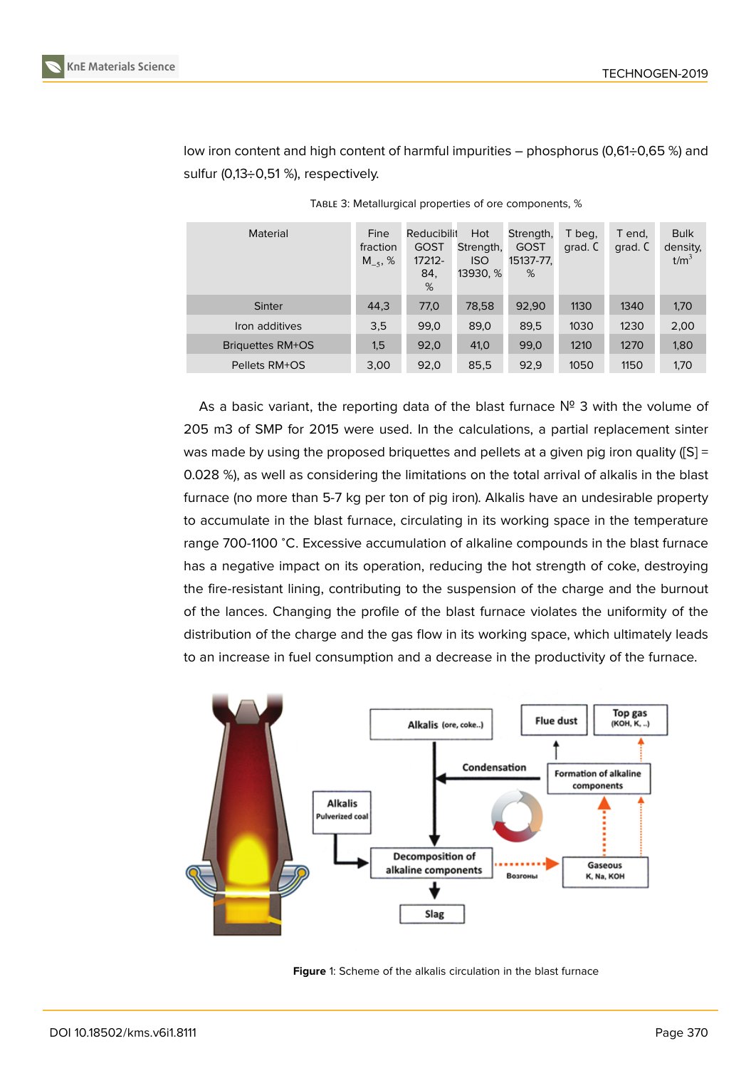

low iron content and high content of harmful impurities – phosphorus (0,61÷0,65 %) and sulfur (0,13÷0,51 %), respectively.

| <b>Material</b>         | Fine<br>fraction<br>$M_{-5}$ , % | Reducibilit<br><b>GOST</b><br>17212-<br>84.<br>% | Hot<br>Strength,<br><b>ISO</b><br>13930, % | Strength,<br><b>GOST</b><br>15137-77,<br>% | T beg.<br>grad. C | T end,<br>grad. C | <b>Bulk</b><br>density,<br>t/m <sup>3</sup> |
|-------------------------|----------------------------------|--------------------------------------------------|--------------------------------------------|--------------------------------------------|-------------------|-------------------|---------------------------------------------|
| Sinter                  | 44,3                             | 77,0                                             | 78,58                                      | 92,90                                      | 1130              | 1340              | 1,70                                        |
| Iron additives          | 3,5                              | 99,0                                             | 89,0                                       | 89,5                                       | 1030              | 1230              | 2,00                                        |
| <b>Briguettes RM+OS</b> | 1,5                              | 92,0                                             | 41,0                                       | 99,0                                       | 1210              | 1270              | 1,80                                        |
| Pellets RM+OS           | 3,00                             | 92,0                                             | 85,5                                       | 92,9                                       | 1050              | 1150              | 1,70                                        |

TABLE 3: Metallurgical properties of ore components, %

As a basic variant, the reporting data of the blast furnace  $N^2$  3 with the volume of 205 m3 of SMP for 2015 were used. In the calculations, a partial replacement sinter was made by using the proposed briquettes and pellets at a given pig iron quality ([S] = 0.028 %), as well as considering the limitations on the total arrival of alkalis in the blast furnace (no more than 5-7 kg per ton of pig iron). Alkalis have an undesirable property to accumulate in the blast furnace, circulating in its working space in the temperature range 700-1100 <sup>∘</sup>C. Excessive accumulation of alkaline compounds in the blast furnace has a negative impact on its operation, reducing the hot strength of coke, destroying the fire-resistant lining, contributing to the suspension of the charge and the burnout of the lances. Changing the profile of the blast furnace violates the uniformity of the distribution of the charge and the gas flow in its working space, which ultimately leads to an increase in fuel consumption and a decrease in the productivity of the furnace.



**Figure** 1: Scheme of the alkalis circulation in the blast furnace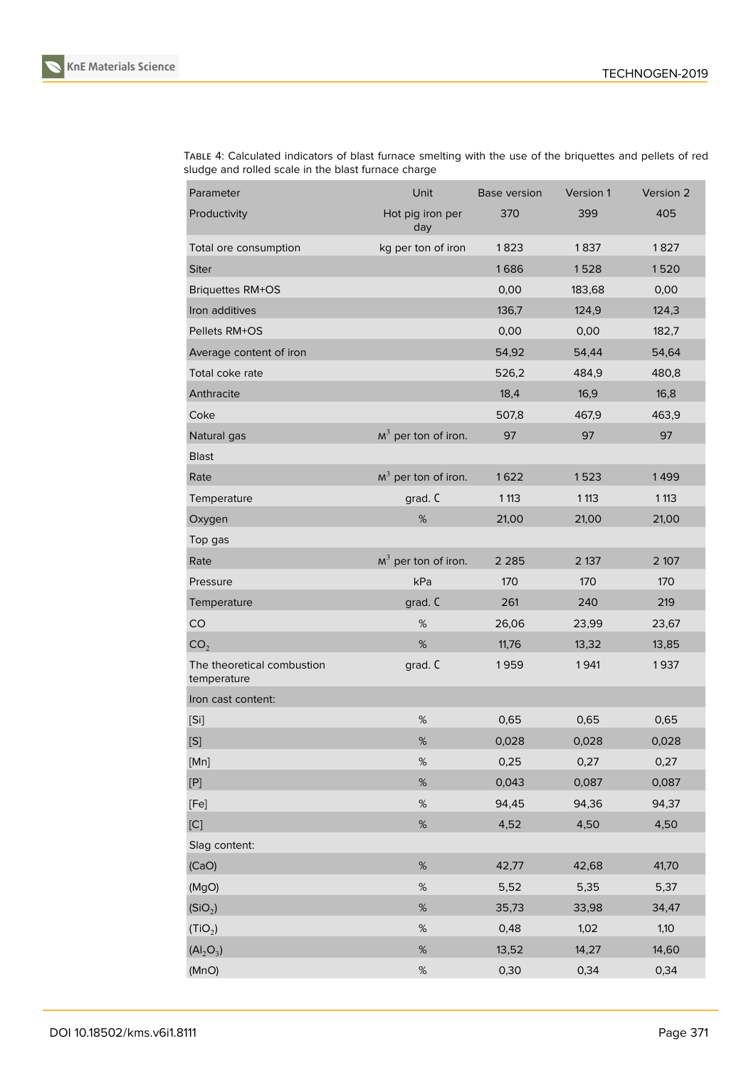

TABLE 4: Calculated indicators of blast furnace smelting with the use of the briquettes and pellets of red sludge and rolled scale in the blast furnace charge

| Parameter                                 | Unit                    | <b>Base version</b> | Version 1 | Version 2 |
|-------------------------------------------|-------------------------|---------------------|-----------|-----------|
| Productivity                              | Hot pig iron per<br>day | 370                 | 399       | 405       |
| Total ore consumption                     | kg per ton of iron      | 1823                | 1837      | 1827      |
| <b>Siter</b>                              |                         | 1686                | 1528      | 1520      |
| <b>Briquettes RM+OS</b>                   |                         | 0,00                | 183,68    | 0,00      |
| Iron additives                            |                         | 136,7               | 124,9     | 124,3     |
| Pellets RM+OS                             |                         | 0,00                | 0,00      | 182,7     |
| Average content of iron                   |                         | 54,92               | 54,44     | 54,64     |
| Total coke rate                           |                         | 526,2               | 484,9     | 480,8     |
| Anthracite                                |                         | 18,4                | 16,9      | 16,8      |
| Coke                                      |                         | 507,8               | 467,9     | 463,9     |
| Natural gas                               | $M3$ per ton of iron.   | 97                  | 97        | 97        |
| <b>Blast</b>                              |                         |                     |           |           |
| Rate                                      | $M3$ per ton of iron.   | 1622                | 1523      | 1499      |
| Temperature                               | grad. C                 | 1 1 1 3             | 1 1 1 3   | 1 1 1 3   |
| Oxygen                                    | $\%$                    | 21,00               | 21,00     | 21,00     |
| Top gas                                   |                         |                     |           |           |
| Rate                                      | $M3$ per ton of iron.   | 2 2 8 5             | 2 137     | 2 107     |
| Pressure                                  | kPa                     | 170                 | 170       | 170       |
| Temperature                               | grad. C                 | 261                 | 240       | 219       |
| CO                                        | $\%$                    | 26,06               | 23,99     | 23,67     |
| CO <sub>2</sub>                           | $\%$                    | 11,76               | 13,32     | 13,85     |
| The theoretical combustion<br>temperature | grad. C                 | 1959                | 1941      | 1937      |
| Iron cast content:                        |                         |                     |           |           |
| [Si]                                      | $\%$                    | 0,65                | 0,65      | 0,65      |
| [S]                                       | $\%$                    | 0,028               | 0,028     | 0,028     |
| [Mn]                                      | $\%$                    | 0,25                | 0,27      | 0,27      |
| $[{\mathsf P}]$                           | $\%$                    | 0,043               | 0,087     | 0,087     |
| [Fe]                                      | $\%$                    | 94,45               | 94,36     | 94,37     |
| [C]                                       | $\%$                    | 4,52                | 4,50      | 4,50      |
| Slag content:                             |                         |                     |           |           |
| (CaO)                                     | $\%$                    | 42,77               | 42,68     | 41,70     |
| (MgO)                                     | $\%$                    | 5,52                | 5,35      | 5,37      |
| (SiO <sub>2</sub> )                       | $\%$                    | 35,73               | 33,98     | 34,47     |
| (TiO <sub>2</sub> )                       | $\%$                    | 0,48                | 1,02      | 1,10      |
| $(Al_2O_3)$                               | $\%$                    | 13,52               | 14,27     | 14,60     |
| (MnO)                                     | $\%$                    | 0,30                | 0,34      | 0,34      |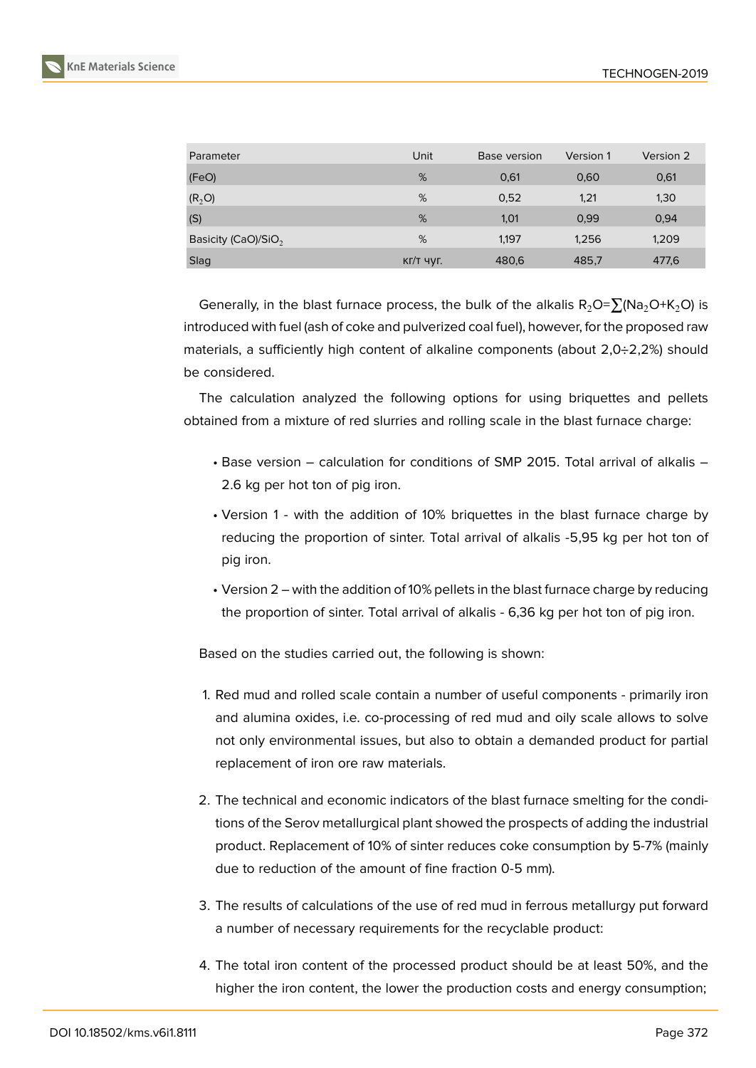

| Parameter                       | Unit        | Base version | Version 1 | Version 2 |
|---------------------------------|-------------|--------------|-----------|-----------|
| (FeO)                           | %           | 0,61         | 0,60      | 0,61      |
| (R <sub>2</sub> O)              | %           | 0,52         | 1,21      | 1,30      |
| (S)                             | %           | 1,01         | 0,99      | 0,94      |
| Basicity (CaO)/SiO <sub>2</sub> | %           | 1.197        | 1,256     | 1,209     |
| Slag                            | $KT/T$ ЧУГ. | 480,6        | 485,7     | 477,6     |

Generally, in the blast furnace process, the bulk of the alkalis  $R_2O=\sum (Na_2O+K_2O)$  is introduced with fuel (ash of coke and pulverized coal fuel), however, for the proposed raw materials, a sufficiently high content of alkaline components (about 2,0÷2,2%) should be considered.

The calculation analyzed the following options for using briquettes and pellets obtained from a mixture of red slurries and rolling scale in the blast furnace charge:

- Base version calculation for conditions of SMP 2015. Total arrival of alkalis 2.6 kg per hot ton of pig iron.
- Version 1 with the addition of 10% briquettes in the blast furnace charge by reducing the proportion of sinter. Total arrival of alkalis -5,95 kg per hot ton of pig iron.
- Version 2 with the addition of 10% pellets in the blast furnace charge by reducing the proportion of sinter. Total arrival of alkalis - 6,36 kg per hot ton of pig iron.

Based on the studies carried out, the following is shown:

- 1. Red mud and rolled scale contain a number of useful components primarily iron and alumina oxides, i.e. co-processing of red mud and oily scale allows to solve not only environmental issues, but also to obtain a demanded product for partial replacement of iron ore raw materials.
- 2. The technical and economic indicators of the blast furnace smelting for the conditions of the Serov metallurgical plant showed the prospects of adding the industrial product. Replacement of 10% of sinter reduces coke consumption by 5-7% (mainly due to reduction of the amount of fine fraction 0-5 mm).
- 3. The results of calculations of the use of red mud in ferrous metallurgy put forward a number of necessary requirements for the recyclable product:
- 4. The total iron content of the processed product should be at least 50%, and the higher the iron content, the lower the production costs and energy consumption;